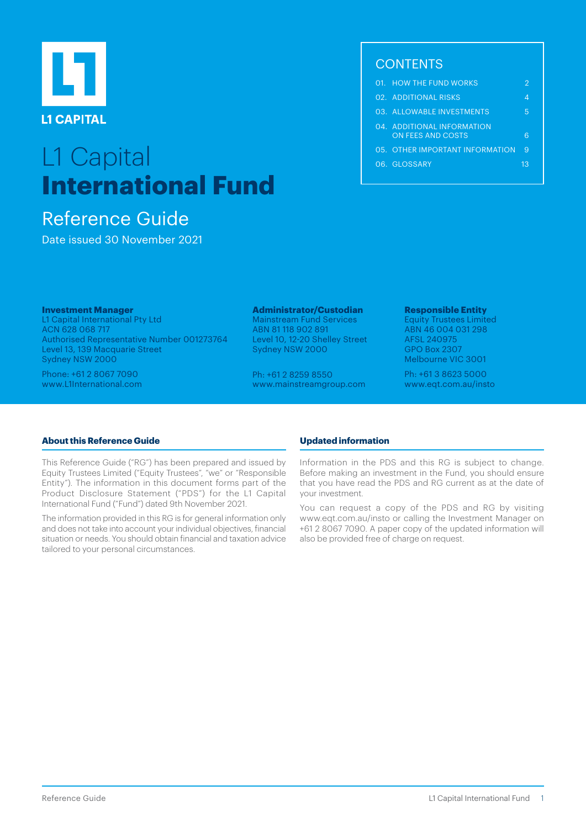

# L1 Capital **International Fund**

# Reference Guide

Date issued 30 November 2021

## **CONTENTS**

|  | 01. HOW THE FUND WORKS                          |    |
|--|-------------------------------------------------|----|
|  | 02 ADDITIONAL RISKS                             |    |
|  | 03. ALLOWABLE INVESTMENTS                       | 5  |
|  | 04. ADDITIONAL INFORMATION<br>ON FEES AND COSTS |    |
|  | 05. OTHER IMPORTANT INFORMATION                 | 9  |
|  | 06. GLOSSARY                                    | 13 |
|  |                                                 |    |

#### **Investment Manager**

L1 Capital International Pty Ltd ACN 628 068 717 Authorised Representative Number 001273764 Level 13, 139 Macquarie Street Sydney NSW 2000

Phone: +61 2 8067 7090 www.L1International.com

## **Administrator/Custodian**

Mainstream Fund Services ABN 81 118 902 891 Level 10, 12-20 Shelley Street Sydney NSW 2000

Ph: +61 2 8259 8550 www.mainstreamgroup.com

#### **Responsible Entity**

Equity Trustees Limited ABN 46 004 031 298 AFSL 240975 GPO Box 2307 Melbourne VIC 3001

Ph: +61 3 8623 5000 www.eqt.com.au/insto

## **About this Reference Guide**

This Reference Guide ("RG") has been prepared and issued by Equity Trustees Limited ("Equity Trustees", "we" or "Responsible Entity"). The information in this document forms part of the Product Disclosure Statement ("PDS") for the L1 Capital International Fund ("Fund") dated 9th November 2021.

The information provided in this RG is for general information only and does not take into account your individual objectives, financial situation or needs. You should obtain financial and taxation advice tailored to your personal circumstances.

## **Updated information**

Information in the PDS and this RG is subject to change. Before making an investment in the Fund, you should ensure that you have read the PDS and RG current as at the date of your investment.

You can request a copy of the PDS and RG by visiting www.eqt.com.au/insto or calling the Investment Manager on +61 2 8067 7090. A paper copy of the updated information will also be provided free of charge on request.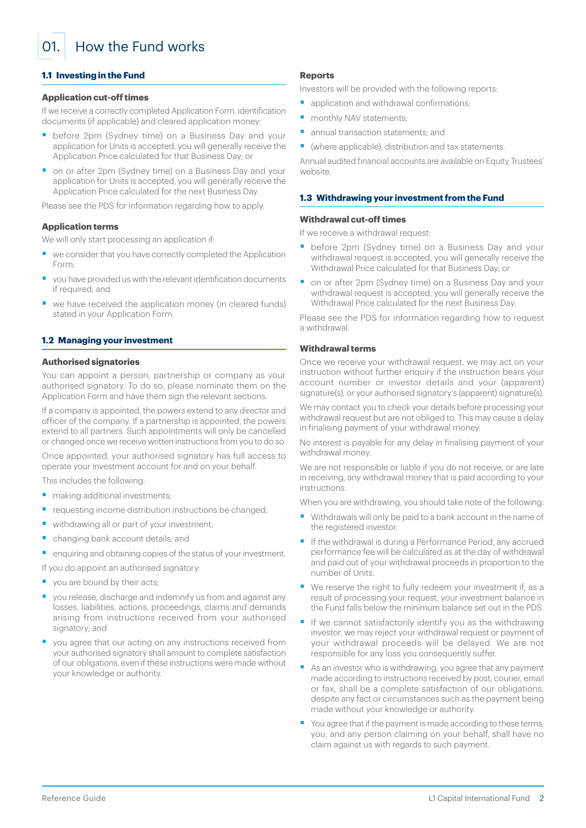<span id="page-1-0"></span>01. How the Fund works

## **1.1 Investing in the Fund**

#### **Application cut-off times**

If we receive a correctly completed Application Form, identification documents (if applicable) and cleared application money:

- before 2pm (Sydney time) on a Business Day and your application for Units is accepted, you will generally receive the Application Price calculated for that Business Day; or
- on or after 2pm (Sydney time) on a Business Day and your application for Units is accepted, you will generally receive the Application Price calculated for the next Business Day.

Please see the PDS for information regarding how to apply.

#### **Application terms**

We will only start processing an application if:

- we consider that you have correctly completed the Application Form;
- § you have provided us with the relevant identification documents if required; and
- we have received the application money (in cleared funds) stated in your Application Form.

#### **1.2 Managing your investment**

#### **Authorised signatories**

You can appoint a person, partnership or company as your authorised signatory. To do so, please nominate them on the Application Form and have them sign the relevant sections.

If a company is appointed, the powers extend to any director and officer of the company. If a partnership is appointed, the powers extend to all partners. Such appointments will only be cancelled or changed once we receive written instructions from you to do so.

Once appointed, your authorised signatory has full access to operate your investment account for and on your behalf.

This includes the following:

- making additional investments;
- requesting income distribution instructions be changed;
- withdrawing all or part of your investment;
- § changing bank account details; and
- enquiring and obtaining copies of the status of your investment.
- If you do appoint an authorised signatory:
- vou are bound by their acts;
- you release, discharge and indemnify us from and against any losses, liabilities, actions, proceedings, claims and demands arising from instructions received from your authorised signatory; and
- you agree that our acting on any instructions received from your authorised signatory shall amount to complete satisfaction of our obligations, even if these instructions were made without your knowledge or authority.

#### **Reports**

Investors will be provided with the following reports:

- application and withdrawal confirmations;
- monthly NAV statements;
- annual transaction statements; and
- (where applicable), distribution and tax statements.

Annual audited financial accounts are available on Equity Trustees' website.

#### **1.3 Withdrawing your investment from the Fund**

#### **Withdrawal cut-off times**

If we receive a withdrawal request:

- before 2pm (Sydney time) on a Business Day and your withdrawal request is accepted, you will generally receive the Withdrawal Price calculated for that Business Day; or
- on or after 2pm (Sydney time) on a Business Day and your withdrawal request is accepted, you will generally receive the Withdrawal Price calculated for the next Business Day.

Please see the PDS for information regarding how to request a withdrawal.

### **Withdrawal terms**

Once we receive your withdrawal request, we may act on your instruction without further enquiry if the instruction bears your account number or investor details and your (apparent) signature(s), or your authorised signatory's (apparent) signature(s).

We may contact you to check your details before processing your withdrawal request but are not obliged to. This may cause a delay in finalising payment of your withdrawal money.

No interest is payable for any delay in finalising payment of your withdrawal money.

We are not responsible or liable if you do not receive, or are late in receiving, any withdrawal money that is paid according to your instructions.

When you are withdrawing, you should take note of the following:

- Withdrawals will only be paid to a bank account in the name of the registered investor.
- If the withdrawal is during a Performance Period, any accrued performance fee will be calculated as at the day of withdrawal and paid out of your withdrawal proceeds in proportion to the number of Units.
- We reserve the right to fully redeem your investment if, as a result of processing your request, your investment balance in the Fund falls below the minimum balance set out in the PDS.
- If we cannot satisfactorily identify you as the withdrawing investor, we may reject your withdrawal request or payment of your withdrawal proceeds will be delayed. We are not responsible for any loss you consequently suffer.
- As an investor who is withdrawing, you agree that any payment made according to instructions received by post, courier, email or fax, shall be a complete satisfaction of our obligations, despite any fact or circumstances such as the payment being made without your knowledge or authority.
- You agree that if the payment is made according to these terms, you, and any person claiming on your behalf, shall have no claim against us with regards to such payment.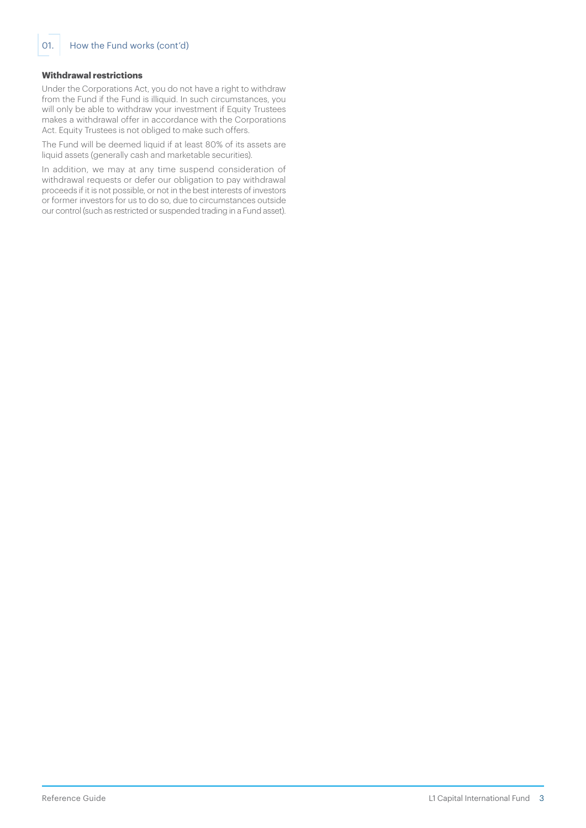## **Withdrawal restrictions**

Under the Corporations Act, you do not have a right to withdraw from the Fund if the Fund is illiquid. In such circumstances, you will only be able to withdraw your investment if Equity Trustees makes a withdrawal offer in accordance with the Corporations Act. Equity Trustees is not obliged to make such offers.

The Fund will be deemed liquid if at least 80% of its assets are liquid assets (generally cash and marketable securities).

In addition, we may at any time suspend consideration of withdrawal requests or defer our obligation to pay withdrawal proceeds if it is not possible, or not in the best interests of investors or former investors for us to do so, due to circumstances outside our control (such as restricted or suspended trading in a Fund asset).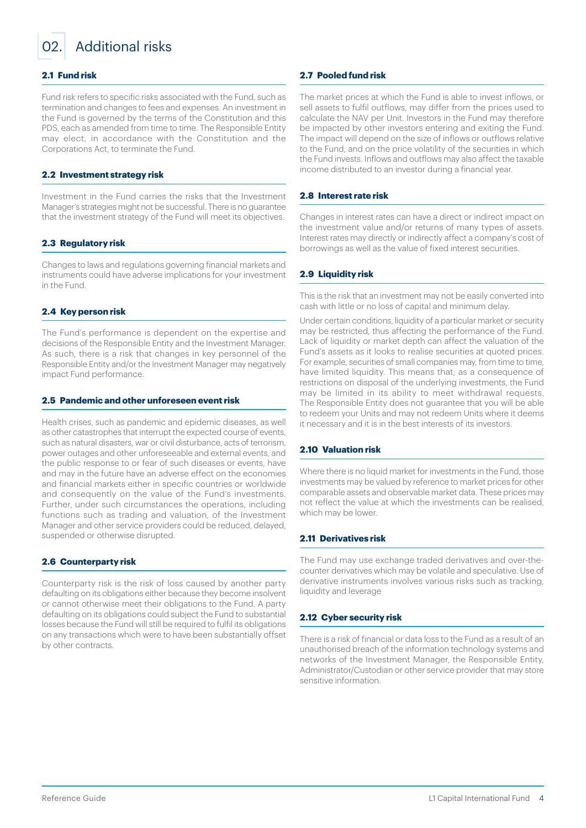<span id="page-3-0"></span>

## 02. Additional risks

## **2.1 Fund risk**

Fund risk refers to specific risks associated with the Fund, such as termination and changes to fees and expenses. An investment in the Fund is governed by the terms of the Constitution and this PDS, each as amended from time to time. The Responsible Entity may elect, in accordance with the Constitution and the Corporations Act, to terminate the Fund.

## **2.2 Investment strategy risk**

Investment in the Fund carries the risks that the Investment Manager's strategies might not be successful. There is no guarantee that the investment strategy of the Fund will meet its objectives.

## **2.3 Regulatory risk**

Changes to laws and regulations governing financial markets and instruments could have adverse implications for your investment in the Fund.

### **2.4 Key person risk**

The Fund's performance is dependent on the expertise and decisions of the Responsible Entity and the Investment Manager. As such, there is a risk that changes in key personnel of the Responsible Entity and/or the Investment Manager may negatively impact Fund performance.

#### **2.5 Pandemic and other unforeseen event risk**

Health crises, such as pandemic and epidemic diseases, as well as other catastrophes that interrupt the expected course of events, such as natural disasters, war or civil disturbance, acts of terrorism, power outages and other unforeseeable and external events, and the public response to or fear of such diseases or events, have and may in the future have an adverse effect on the economies and financial markets either in specific countries or worldwide and consequently on the value of the Fund's investments. Further, under such circumstances the operations, including functions such as trading and valuation, of the Investment Manager and other service providers could be reduced, delayed, suspended or otherwise disrupted.

#### **2.6 Counterparty risk**

Counterparty risk is the risk of loss caused by another party defaulting on its obligations either because they become insolvent or cannot otherwise meet their obligations to the Fund. A party defaulting on its obligations could subject the Fund to substantial losses because the Fund will still be required to fulfil its obligations on any transactions which were to have been substantially offset by other contracts.

#### **2.7 Pooled fund risk**

The market prices at which the Fund is able to invest inflows, or sell assets to fulfil outflows, may differ from the prices used to calculate the NAV per Unit. Investors in the Fund may therefore be impacted by other investors entering and exiting the Fund. The impact will depend on the size of inflows or outflows relative to the Fund, and on the price volatility of the securities in which the Fund invests. Inflows and outflows may also affect the taxable income distributed to an investor during a financial year.

### **2.8 Interest rate risk**

Changes in interest rates can have a direct or indirect impact on the investment value and/or returns of many types of assets. Interest rates may directly or indirectly affect a company's cost of borrowings as well as the value of fixed interest securities.

## **2.9 Liquidity risk**

This is the risk that an investment may not be easily converted into cash with little or no loss of capital and minimum delay.

Under certain conditions, liquidity of a particular market or security may be restricted, thus affecting the performance of the Fund. Lack of liquidity or market depth can affect the valuation of the Fund's assets as it looks to realise securities at quoted prices. For example, securities of small companies may, from time to time, have limited liquidity. This means that, as a consequence of restrictions on disposal of the underlying investments, the Fund may be limited in its ability to meet withdrawal requests. The Responsible Entity does not guarantee that you will be able to redeem your Units and may not redeem Units where it deems it necessary and it is in the best interests of its investors.

## **2.10 Valuation risk**

Where there is no liquid market for investments in the Fund, those investments may be valued by reference to market prices for other comparable assets and observable market data. These prices may not reflect the value at which the investments can be realised, which may be lower.

## **2.11 Derivatives risk**

The Fund may use exchange traded derivatives and over-thecounter derivatives which may be volatile and speculative. Use of derivative instruments involves various risks such as tracking, liquidity and leverage

#### **2.12 Cyber security risk**

There is a risk of financial or data loss to the Fund as a result of an unauthorised breach of the information technology systems and networks of the Investment Manager, the Responsible Entity, Administrator/Custodian or other service provider that may store sensitive information.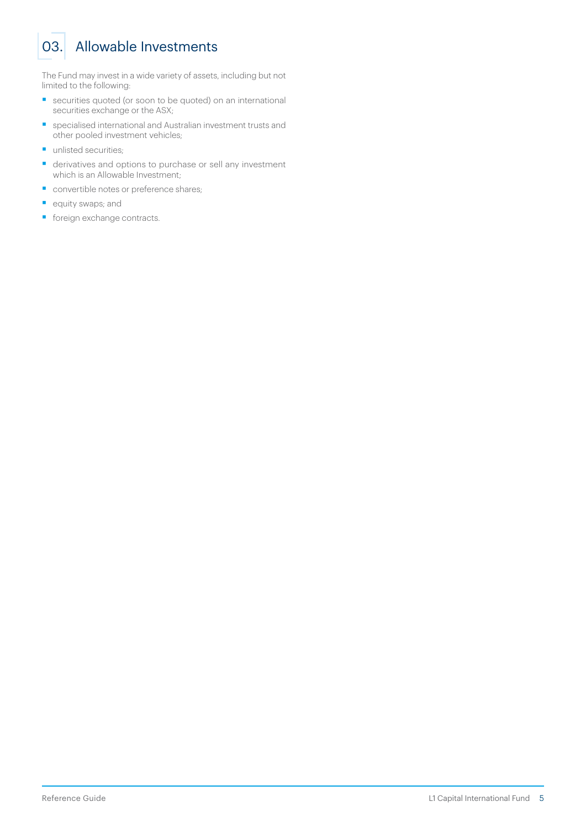# <span id="page-4-0"></span>03. Allowable Investments

The Fund may invest in a wide variety of assets, including but not limited to the following:

- securities quoted (or soon to be quoted) on an international securities exchange or the ASX;
- specialised international and Australian investment trusts and other pooled investment vehicles;
- **•** unlisted securities:
- derivatives and options to purchase or sell any investment which is an Allowable Investment;
- convertible notes or preference shares;
- equity swaps; and
- **•** foreign exchange contracts.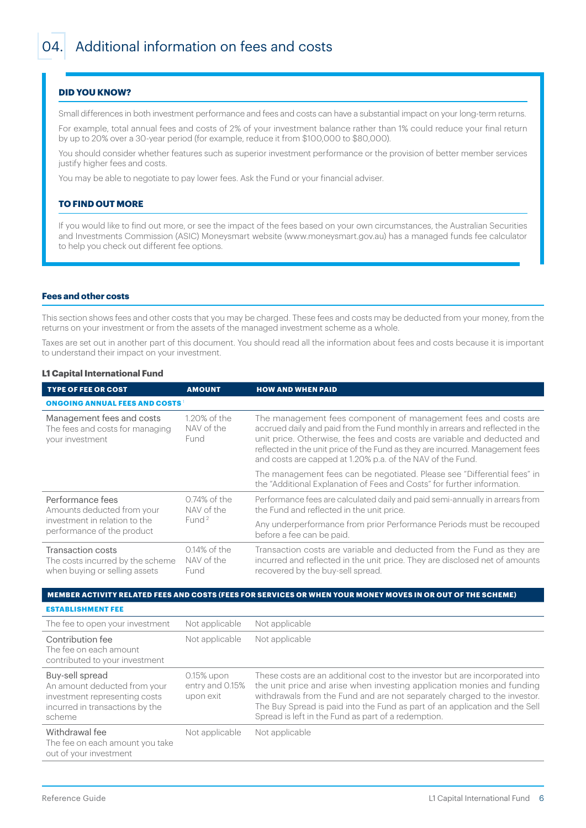## <span id="page-5-0"></span>**DID YOU KNOW?**

Small differences in both investment performance and fees and costs can have a substantial impact on your long-term returns.

For example, total annual fees and costs of 2% of your investment balance rather than 1% could reduce your final return by up to 20% over a 30-year period (for example, reduce it from \$100,000 to \$80,000).

You should consider whether features such as superior investment performance or the provision of better member services justify higher fees and costs.

You may be able to negotiate to pay lower fees. Ask the Fund or your financial adviser.

#### **TO FIND OUT MORE**

If you would like to find out more, or see the impact of the fees based on your own circumstances, the Australian Securities and Investments Commission (ASIC) Moneysmart website (www.moneysmart.gov.au) has a managed funds fee calculator to help you check out different fee options.

#### **Fees and other costs**

This section shows fees and other costs that you may be charged. These fees and costs may be deducted from your money, from the returns on your investment or from the assets of the managed investment scheme as a whole.

Taxes are set out in another part of this document. You should read all the information about fees and costs because it is important to understand their impact on your investment.

#### **L1 Capital International Fund**

| <b>TYPE OF FEE OR COST</b>                                                             | <b>AMOUNT</b>                                      | <b>HOW AND WHEN PAID</b>                                                                                                                                                                                                                                                                                                                                                 |  |  |  |  |
|----------------------------------------------------------------------------------------|----------------------------------------------------|--------------------------------------------------------------------------------------------------------------------------------------------------------------------------------------------------------------------------------------------------------------------------------------------------------------------------------------------------------------------------|--|--|--|--|
| <b>ONGOING ANNUAL FEES AND COSTS</b>                                                   |                                                    |                                                                                                                                                                                                                                                                                                                                                                          |  |  |  |  |
| Management fees and costs<br>The fees and costs for managing<br>your investment        | 1.20% of the<br>NAV of the<br>Fund                 | The management fees component of management fees and costs are<br>accrued daily and paid from the Fund monthly in arrears and reflected in the<br>unit price. Otherwise, the fees and costs are variable and deducted and<br>reflected in the unit price of the Fund as they are incurred. Management fees<br>and costs are capped at 1.20% p.a. of the NAV of the Fund. |  |  |  |  |
|                                                                                        |                                                    | The management fees can be negotiated. Please see "Differential fees" in<br>the "Additional Explanation of Fees and Costs" for further information.                                                                                                                                                                                                                      |  |  |  |  |
| Performance fees<br>Amounts deducted from your                                         | $0.74\%$ of the<br>NAV of the<br>Fund <sup>2</sup> | Performance fees are calculated daily and paid semi-annually in arrears from<br>the Fund and reflected in the unit price.                                                                                                                                                                                                                                                |  |  |  |  |
| investment in relation to the<br>performance of the product                            |                                                    | Any underperformance from prior Performance Periods must be recouped<br>before a fee can be paid.                                                                                                                                                                                                                                                                        |  |  |  |  |
| Transaction costs<br>The costs incurred by the scheme<br>when buying or selling assets | $0.14\%$ of the<br>NAV of the<br>Fund              | Transaction costs are variable and deducted from the Fund as they are<br>incurred and reflected in the unit price. They are disclosed net of amounts<br>recovered by the buy-sell spread.                                                                                                                                                                                |  |  |  |  |

#### **MEMBER ACTIVITY RELATED FEES AND COSTS (FEES FOR SERVICES OR WHEN YOUR MONEY MOVES IN OR OUT OF THE SCHEME)**

**ESTABLISHMENT FEE** The fee to open your investment Not applicable Not applicable Contribution fee The fee on each amount contributed to your investment Not applicable Not applicable Buy-sell spread An amount deducted from your investment representing costs incurred in transactions by the scheme 0.15% upon entry and 0.15% upon exit These costs are an additional cost to the investor but are incorporated into the unit price and arise when investing application monies and funding withdrawals from the Fund and are not separately charged to the investor. The Buy Spread is paid into the Fund as part of an application and the Sell Spread is left in the Fund as part of a redemption. Withdrawal fee The fee on each amount you take out of your investment Not applicable Not applicable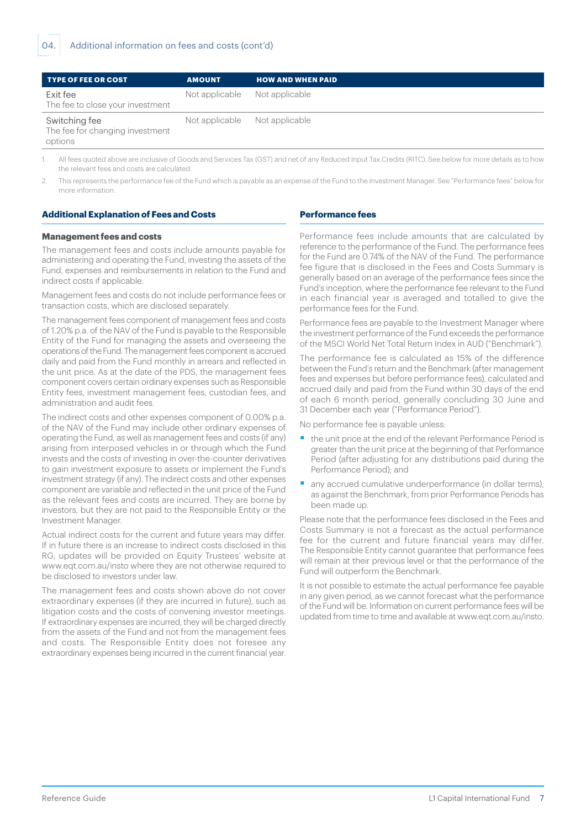| <b>TYPE OF FEE OR COST</b>                                  | <b>AMOUNT</b>                 | <b>HOW AND WHEN PAID</b> |
|-------------------------------------------------------------|-------------------------------|--------------------------|
| Exit fee<br>The fee to close your investment                | Not applicable Not applicable |                          |
| Switching fee<br>The fee for changing investment<br>options | Not applicable Not applicable |                          |

All fees quoted above are inclusive of Goods and Services Tax (GST) and net of any Reduced Input Tax Credits (RITC). See below for more details as to how the relevant fees and costs are calculated.

2. This represents the performance fee of the Fund which is payable as an expense of the Fund to the Investment Manager. See "Performance fees" below for more information.

#### **Additional Explanation of Fees and Costs**

#### **Performance fees**

#### **Management fees and costs**

The management fees and costs include amounts payable for administering and operating the Fund, investing the assets of the Fund, expenses and reimbursements in relation to the Fund and indirect costs if applicable.

Management fees and costs do not include performance fees or transaction costs, which are disclosed separately.

The management fees component of management fees and costs of 1.20% p.a. of the NAV of the Fund is payable to the Responsible Entity of the Fund for managing the assets and overseeing the operations of the Fund. The management fees component is accrued daily and paid from the Fund monthly in arrears and reflected in the unit price. As at the date of the PDS, the management fees component covers certain ordinary expenses such as Responsible Entity fees, investment management fees, custodian fees, and administration and audit fees.

The indirect costs and other expenses component of 0.00% p.a. of the NAV of the Fund may include other ordinary expenses of operating the Fund, as well as management fees and costs (if any) arising from interposed vehicles in or through which the Fund invests and the costs of investing in over-the-counter derivatives to gain investment exposure to assets or implement the Fund's investment strategy (if any). The indirect costs and other expenses component are variable and reflected in the unit price of the Fund as the relevant fees and costs are incurred. They are borne by investors, but they are not paid to the Responsible Entity or the Investment Manager.

Actual indirect costs for the current and future years may differ. If in future there is an increase to indirect costs disclosed in this RG, updates will be provided on Equity Trustees' website at www.eqt.com.au/insto where they are not otherwise required to be disclosed to investors under law.

The management fees and costs shown above do not cover extraordinary expenses (if they are incurred in future), such as litigation costs and the costs of convening investor meetings. If extraordinary expenses are incurred, they will be charged directly from the assets of the Fund and not from the management fees and costs. The Responsible Entity does not foresee any extraordinary expenses being incurred in the current financial year.

Performance fees include amounts that are calculated by reference to the performance of the Fund. The performance fees for the Fund are 0.74% of the NAV of the Fund. The performance fee figure that is disclosed in the Fees and Costs Summary is generally based on an average of the performance fees since the Fund's inception, where the performance fee relevant to the Fund in each financial year is averaged and totalled to give the performance fees for the Fund.

Performance fees are payable to the Investment Manager where the investment performance of the Fund exceeds the performance of the MSCI World Net Total Return Index in AUD ("Benchmark").

The performance fee is calculated as 15% of the difference between the Fund's return and the Benchmark (after management fees and expenses but before performance fees), calculated and accrued daily and paid from the Fund within 30 days of the end of each 6 month period, generally concluding 30 June and 31 December each year ("Performance Period").

No performance fee is payable unless:

- the unit price at the end of the relevant Performance Period is greater than the unit price at the beginning of that Performance Period (after adjusting for any distributions paid during the Performance Period); and
- any accrued cumulative underperformance (in dollar terms), as against the Benchmark, from prior Performance Periods has been made up.

Please note that the performance fees disclosed in the Fees and Costs Summary is not a forecast as the actual performance fee for the current and future financial years may differ. The Responsible Entity cannot guarantee that performance fees will remain at their previous level or that the performance of the Fund will outperform the Benchmark.

It is not possible to estimate the actual performance fee payable in any given period, as we cannot forecast what the performance of the Fund will be. Information on current performance fees will be updated from time to time and available at www.eqt.com.au/insto.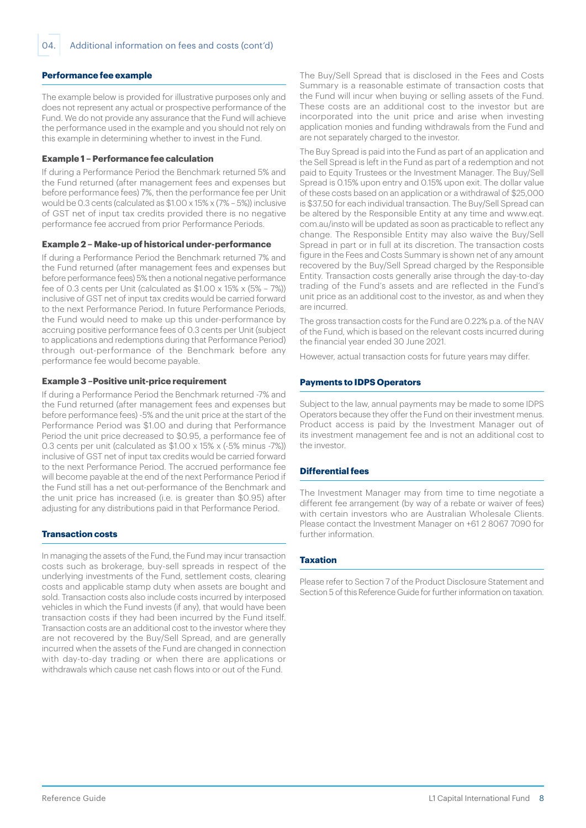## **Performance fee example**

The example below is provided for illustrative purposes only and does not represent any actual or prospective performance of the Fund. We do not provide any assurance that the Fund will achieve the performance used in the example and you should not rely on this example in determining whether to invest in the Fund.

#### **Example 1 – Performance fee calculation**

If during a Performance Period the Benchmark returned 5% and the Fund returned (after management fees and expenses but before performance fees) 7%, then the performance fee per Unit would be 0.3 cents (calculated as \$1.00 x 15% x (7% – 5%)) inclusive of GST net of input tax credits provided there is no negative performance fee accrued from prior Performance Periods.

#### **Example 2 – Make-up of historical under-performance**

If during a Performance Period the Benchmark returned 7% and the Fund returned (after management fees and expenses but before performance fees) 5% then a notional negative performance fee of 0.3 cents per Unit (calculated as  $$1.00 \times 15\% \times (5\% - 7\%)$ ) inclusive of GST net of input tax credits would be carried forward to the next Performance Period. In future Performance Periods, the Fund would need to make up this under-performance by accruing positive performance fees of 0.3 cents per Unit (subject to applications and redemptions during that Performance Period) through out-performance of the Benchmark before any performance fee would become payable.

#### **Example 3 –Positive unit-price requirement**

If during a Performance Period the Benchmark returned -7% and the Fund returned (after management fees and expenses but before performance fees) -5% and the unit price at the start of the Performance Period was \$1.00 and during that Performance Period the unit price decreased to \$0.95, a performance fee of 0.3 cents per unit (calculated as \$1.00 x 15% x (-5% minus -7%)) inclusive of GST net of input tax credits would be carried forward to the next Performance Period. The accrued performance fee will become payable at the end of the next Performance Period if the Fund still has a net out-performance of the Benchmark and the unit price has increased (i.e. is greater than \$0.95) after adjusting for any distributions paid in that Performance Period.

## **Transaction costs**

In managing the assets of the Fund, the Fund may incur transaction costs such as brokerage, buy-sell spreads in respect of the underlying investments of the Fund, settlement costs, clearing costs and applicable stamp duty when assets are bought and sold. Transaction costs also include costs incurred by interposed vehicles in which the Fund invests (if any), that would have been transaction costs if they had been incurred by the Fund itself. Transaction costs are an additional cost to the investor where they are not recovered by the Buy/Sell Spread, and are generally incurred when the assets of the Fund are changed in connection with day-to-day trading or when there are applications or withdrawals which cause net cash flows into or out of the Fund.

The Buy/Sell Spread that is disclosed in the Fees and Costs Summary is a reasonable estimate of transaction costs that the Fund will incur when buying or selling assets of the Fund. These costs are an additional cost to the investor but are incorporated into the unit price and arise when investing application monies and funding withdrawals from the Fund and are not separately charged to the investor.

The Buy Spread is paid into the Fund as part of an application and the Sell Spread is left in the Fund as part of a redemption and not paid to Equity Trustees or the Investment Manager. The Buy/Sell Spread is 0.15% upon entry and 0.15% upon exit. The dollar value of these costs based on an application or a withdrawal of \$25,000 is \$37.50 for each individual transaction. The Buy/Sell Spread can be altered by the Responsible Entity at any time and www.eqt. com.au/insto will be updated as soon as practicable to reflect any change. The Responsible Entity may also waive the Buy/Sell Spread in part or in full at its discretion. The transaction costs figure in the Fees and Costs Summary is shown net of any amount recovered by the Buy/Sell Spread charged by the Responsible Entity. Transaction costs generally arise through the day-to-day trading of the Fund's assets and are reflected in the Fund's unit price as an additional cost to the investor, as and when they are incurred.

The gross transaction costs for the Fund are 0.22% p.a. of the NAV of the Fund, which is based on the relevant costs incurred during the financial year ended 30 June 2021.

However, actual transaction costs for future years may differ.

#### **Payments to IDPS Operators**

Subject to the law, annual payments may be made to some IDPS Operators because they offer the Fund on their investment menus. Product access is paid by the Investment Manager out of its investment management fee and is not an additional cost to the investor.

#### **Differential fees**

The Investment Manager may from time to time negotiate a different fee arrangement (by way of a rebate or waiver of fees) with certain investors who are Australian Wholesale Clients. Please contact the Investment Manager on +61 2 8067 7090 for further information.

#### **Taxation**

Please refer to Section 7 of the Product Disclosure Statement and Section 5 of this Reference Guide for further information on taxation.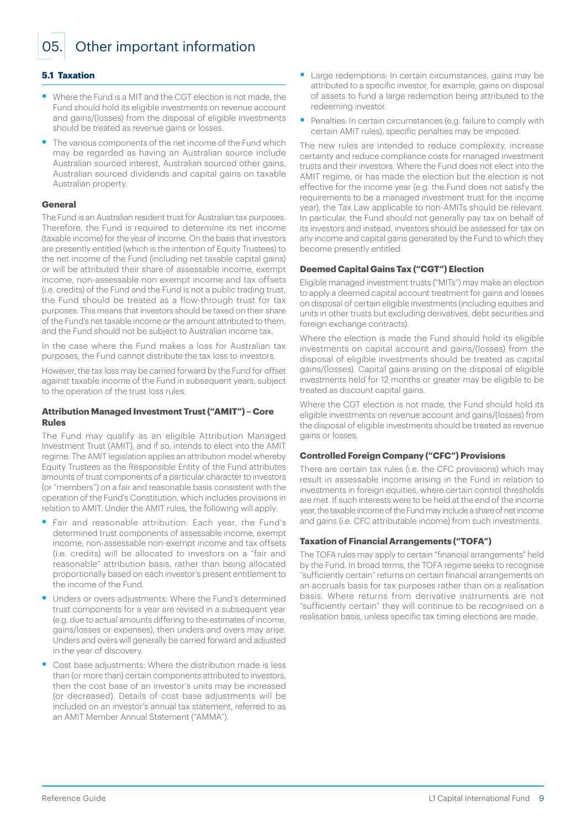<span id="page-8-0"></span>05. Other important information

### **5.1 Taxation**

- Where the Fund is a MIT and the CGT election is not made, the Fund should hold its eligible investments on revenue account and gains/(losses) from the disposal of eligible investments should be treated as revenue gains or losses.
- The various components of the net income of the Fund which may be regarded as having an Australian source include Australian sourced interest, Australian sourced other gains, Australian sourced dividends and capital gains on taxable Australian property.

#### **General**

The Fund is an Australian resident trust for Australian tax purposes. Therefore, the Fund is required to determine its net income (taxable income) for the year of income. On the basis that investors are presently entitled (which is the intention of Equity Trustees) to the net income of the Fund (including net taxable capital gains) or will be attributed their share of assessable income, exempt income, non-assessable non exempt income and tax offsets (i.e. credits) of the Fund and the Fund is not a public trading trust, the Fund should be treated as a flow-through trust for tax purposes. This means that investors should be taxed on their share of the Fund's net taxable income or the amount attributed to them, and the Fund should not be subject to Australian income tax.

In the case where the Fund makes a loss for Australian tax purposes, the Fund cannot distribute the tax loss to investors.

However, the tax loss may be carried forward by the Fund for offset against taxable income of the Fund in subsequent years, subject to the operation of the trust loss rules.

#### **Attribution Managed Investment Trust ("AMIT") – Core Rules**

The Fund may qualify as an eligible Attribution Managed Investment Trust (AMIT), and if so, intends to elect into the AMIT regime. The AMIT legislation applies an attribution model whereby Equity Trustees as the Responsible Entity of the Fund attributes amounts of trust components of a particular character to investors (or "members") on a fair and reasonable basis consistent with the operation of the Fund's Constitution, which includes provisions in relation to AMIT. Under the AMIT rules, the following will apply:

- Fair and reasonable attribution: Each year, the Fund's determined trust components of assessable income, exempt income, non-assessable non-exempt income and tax offsets (i.e. credits) will be allocated to investors on a "fair and reasonable" attribution basis, rather than being allocated proportionally based on each investor's present entitlement to the income of the Fund.
- Unders or overs adjustments: Where the Fund's determined trust components for a year are revised in a subsequent year (e.g. due to actual amounts differing to the estimates of income, gains/losses or expenses), then unders and overs may arise. Unders and overs will generally be carried forward and adjusted in the year of discovery.
- Cost base adjustments: Where the distribution made is less than (or more than) certain components attributed to investors, then the cost base of an investor's units may be increased (or decreased). Details of cost base adjustments will be included on an investor's annual tax statement, referred to as an AMIT Member Annual Statement ("AMMA").
- Large redemptions: In certain circumstances, gains may be attributed to a specific investor, for example, gains on disposal of assets to fund a large redemption being attributed to the redeeming investor.
- Penalties: In certain circumstances (e.g. failure to comply with certain AMIT rules), specific penalties may be imposed.

The new rules are intended to reduce complexity, increase certainty and reduce compliance costs for managed investment trusts and their investors. Where the Fund does not elect into the AMIT regime, or has made the election but the election is not effective for the income year (e.g. the Fund does not satisfy the requirements to be a managed investment trust for the income year), the Tax Law applicable to non-AMITs should be relevant. In particular, the Fund should not generally pay tax on behalf of its investors and instead, investors should be assessed for tax on any income and capital gains generated by the Fund to which they become presently entitled.

#### **Deemed Capital Gains Tax ("CGT") Election**

Eligible managed investment trusts ("MITs") may make an election to apply a deemed capital account treatment for gains and losses on disposal of certain eligible investments (including equities and units in other trusts but excluding derivatives, debt securities and foreign exchange contracts).

Where the election is made the Fund should hold its eligible investments on capital account and gains/(losses) from the disposal of eligible investments should be treated as capital gains/(losses). Capital gains arising on the disposal of eligible investments held for 12 months or greater may be eligible to be treated as discount capital gains.

Where the CGT election is not made, the Fund should hold its eligible investments on revenue account and gains/(losses) from the disposal of eligible investments should be treated as revenue gains or losses.

#### **Controlled Foreign Company ("CFC") Provisions**

There are certain tax rules (i.e. the CFC provisions) which may result in assessable income arising in the Fund in relation to investments in foreign equities, where certain control thresholds are met. If such interests were to be held at the end of the income year, the taxable income of the Fund may include a share of net income and gains (i.e. CFC attributable income) from such investments.

## **Taxation of Financial Arrangements ("TOFA")**

The TOFA rules may apply to certain "financial arrangements" held by the Fund. In broad terms, the TOFA regime seeks to recognise "sufficiently certain" returns on certain financial arrangements on an accruals basis for tax purposes rather than on a realisation basis. Where returns from derivative instruments are not "sufficiently certain" they will continue to be recognised on a realisation basis, unless specific tax timing elections are made.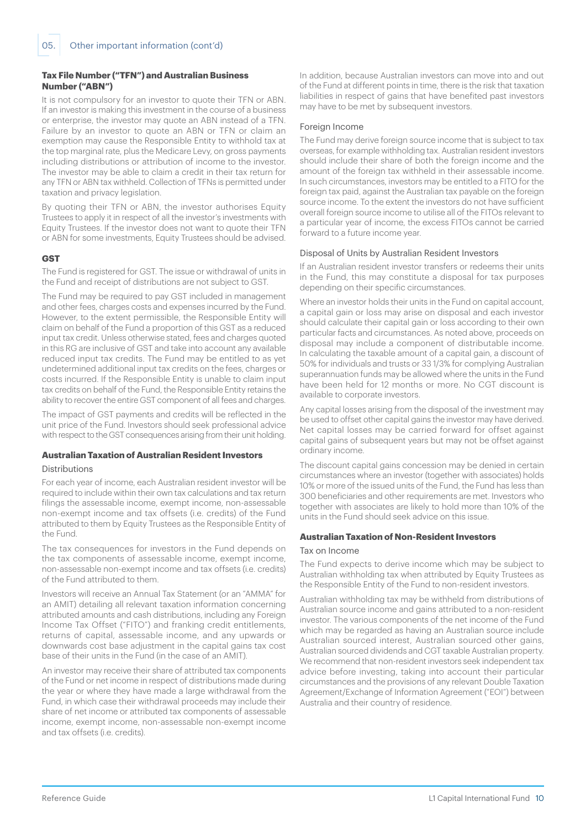## **Tax File Number ("TFN") and Australian Business Number ("ABN")**

It is not compulsory for an investor to quote their TFN or ABN. If an investor is making this investment in the course of a business or enterprise, the investor may quote an ABN instead of a TFN. Failure by an investor to quote an ABN or TFN or claim an exemption may cause the Responsible Entity to withhold tax at the top marginal rate, plus the Medicare Levy, on gross payments including distributions or attribution of income to the investor. The investor may be able to claim a credit in their tax return for any TFN or ABN tax withheld. Collection of TFNs is permitted under taxation and privacy legislation.

By quoting their TFN or ABN, the investor authorises Equity Trustees to apply it in respect of all the investor's investments with Equity Trustees. If the investor does not want to quote their TFN or ABN for some investments, Equity Trustees should be advised.

## **GST**

The Fund is registered for GST. The issue or withdrawal of units in the Fund and receipt of distributions are not subject to GST.

The Fund may be required to pay GST included in management and other fees, charges costs and expenses incurred by the Fund. However, to the extent permissible, the Responsible Entity will claim on behalf of the Fund a proportion of this GST as a reduced input tax credit. Unless otherwise stated, fees and charges quoted in this RG are inclusive of GST and take into account any available reduced input tax credits. The Fund may be entitled to as yet undetermined additional input tax credits on the fees, charges or costs incurred. If the Responsible Entity is unable to claim input tax credits on behalf of the Fund, the Responsible Entity retains the ability to recover the entire GST component of all fees and charges.

The impact of GST payments and credits will be reflected in the unit price of the Fund. Investors should seek professional advice with respect to the GST consequences arising from their unit holding.

## **Australian Taxation of Australian Resident Investors**

## Distributions

For each year of income, each Australian resident investor will be required to include within their own tax calculations and tax return filings the assessable income, exempt income, non-assessable non-exempt income and tax offsets (i.e. credits) of the Fund attributed to them by Equity Trustees as the Responsible Entity of the Fund.

The tax consequences for investors in the Fund depends on the tax components of assessable income, exempt income, non-assessable non-exempt income and tax offsets (i.e. credits) of the Fund attributed to them.

Investors will receive an Annual Tax Statement (or an "AMMA" for an AMIT) detailing all relevant taxation information concerning attributed amounts and cash distributions, including any Foreign Income Tax Offset ("FITO") and franking credit entitlements, returns of capital, assessable income, and any upwards or downwards cost base adjustment in the capital gains tax cost base of their units in the Fund (in the case of an AMIT).

An investor may receive their share of attributed tax components of the Fund or net income in respect of distributions made during the year or where they have made a large withdrawal from the Fund, in which case their withdrawal proceeds may include their share of net income or attributed tax components of assessable income, exempt income, non-assessable non-exempt income and tax offsets (i.e. credits).

In addition, because Australian investors can move into and out of the Fund at different points in time, there is the risk that taxation liabilities in respect of gains that have benefited past investors may have to be met by subsequent investors.

## Foreign Income

The Fund may derive foreign source income that is subject to tax overseas, for example withholding tax. Australian resident investors should include their share of both the foreign income and the amount of the foreign tax withheld in their assessable income. In such circumstances, investors may be entitled to a FITO for the foreign tax paid, against the Australian tax payable on the foreign source income. To the extent the investors do not have sufficient overall foreign source income to utilise all of the FITOs relevant to a particular year of income, the excess FITOs cannot be carried forward to a future income year.

### Disposal of Units by Australian Resident Investors

If an Australian resident investor transfers or redeems their units in the Fund, this may constitute a disposal for tax purposes depending on their specific circumstances.

Where an investor holds their units in the Fund on capital account, a capital gain or loss may arise on disposal and each investor should calculate their capital gain or loss according to their own particular facts and circumstances. As noted above, proceeds on disposal may include a component of distributable income. In calculating the taxable amount of a capital gain, a discount of 50% for individuals and trusts or 33 1/3% for complying Australian superannuation funds may be allowed where the units in the Fund have been held for 12 months or more. No CGT discount is available to corporate investors.

Any capital losses arising from the disposal of the investment may be used to offset other capital gains the investor may have derived. Net capital losses may be carried forward for offset against capital gains of subsequent years but may not be offset against ordinary income.

The discount capital gains concession may be denied in certain circumstances where an investor (together with associates) holds 10% or more of the issued units of the Fund, the Fund has less than 300 beneficiaries and other requirements are met. Investors who together with associates are likely to hold more than 10% of the units in the Fund should seek advice on this issue.

## **Australian Taxation of Non-Resident Investors**

#### Tax on Income

The Fund expects to derive income which may be subject to Australian withholding tax when attributed by Equity Trustees as the Responsible Entity of the Fund to non-resident investors.

Australian withholding tax may be withheld from distributions of Australian source income and gains attributed to a non-resident investor. The various components of the net income of the Fund which may be regarded as having an Australian source include Australian sourced interest, Australian sourced other gains, Australian sourced dividends and CGT taxable Australian property. We recommend that non-resident investors seek independent tax advice before investing, taking into account their particular circumstances and the provisions of any relevant Double Taxation Agreement/Exchange of Information Agreement ("EOI") between Australia and their country of residence.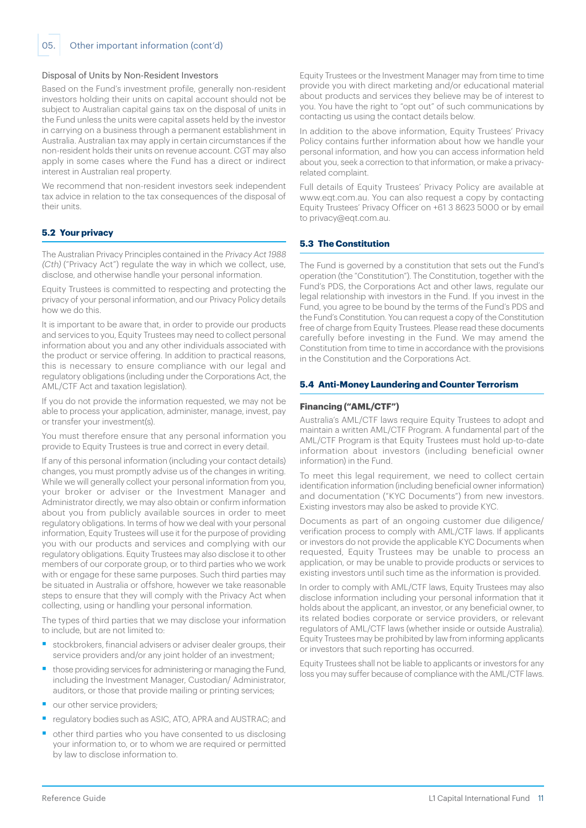#### Disposal of Units by Non-Resident Investors

Based on the Fund's investment profile, generally non-resident investors holding their units on capital account should not be subject to Australian capital gains tax on the disposal of units in the Fund unless the units were capital assets held by the investor in carrying on a business through a permanent establishment in Australia. Australian tax may apply in certain circumstances if the non-resident holds their units on revenue account. CGT may also apply in some cases where the Fund has a direct or indirect interest in Australian real property.

We recommend that non-resident investors seek independent tax advice in relation to the tax consequences of the disposal of their units.

## **5.2 Your privacy**

The Australian Privacy Principles contained in the Privacy Act 1988 (Cth) ("Privacy Act") regulate the way in which we collect, use, disclose, and otherwise handle your personal information.

Equity Trustees is committed to respecting and protecting the privacy of your personal information, and our Privacy Policy details how we do this.

It is important to be aware that, in order to provide our products and services to you, Equity Trustees may need to collect personal information about you and any other individuals associated with the product or service offering. In addition to practical reasons, this is necessary to ensure compliance with our legal and regulatory obligations (including under the Corporations Act, the AML/CTF Act and taxation legislation).

If you do not provide the information requested, we may not be able to process your application, administer, manage, invest, pay or transfer your investment(s).

You must therefore ensure that any personal information you provide to Equity Trustees is true and correct in every detail.

If any of this personal information (including your contact details) changes, you must promptly advise us of the changes in writing. While we will generally collect your personal information from you, your broker or adviser or the Investment Manager and Administrator directly, we may also obtain or confirm information about you from publicly available sources in order to meet regulatory obligations. In terms of how we deal with your personal information, Equity Trustees will use it for the purpose of providing you with our products and services and complying with our regulatory obligations. Equity Trustees may also disclose it to other members of our corporate group, or to third parties who we work with or engage for these same purposes. Such third parties may be situated in Australia or offshore, however we take reasonable steps to ensure that they will comply with the Privacy Act when collecting, using or handling your personal information.

The types of third parties that we may disclose your information to include, but are not limited to:

- stockbrokers, financial advisers or adviser dealer groups, their service providers and/or any joint holder of an investment;
- those providing services for administering or managing the Fund, including the Investment Manager, Custodian/ Administrator, auditors, or those that provide mailing or printing services;
- our other service providers;
- regulatory bodies such as ASIC, ATO, APRA and AUSTRAC; and
- § other third parties who you have consented to us disclosing your information to, or to whom we are required or permitted by law to disclose information to.

Equity Trustees or the Investment Manager may from time to time provide you with direct marketing and/or educational material about products and services they believe may be of interest to you. You have the right to "opt out" of such communications by contacting us using the contact details below.

In addition to the above information, Equity Trustees' Privacy Policy contains further information about how we handle your personal information, and how you can access information held about you, seek a correction to that information, or make a privacyrelated complaint.

Full details of Equity Trustees' Privacy Policy are available at www.eqt.com.au. You can also request a copy by contacting Equity Trustees' Privacy Officer on +61 3 8623 5000 or by email to privacy@eqt.com.au.

## **5.3 The Constitution**

The Fund is governed by a constitution that sets out the Fund's operation (the "Constitution"). The Constitution, together with the Fund's PDS, the Corporations Act and other laws, regulate our legal relationship with investors in the Fund. If you invest in the Fund, you agree to be bound by the terms of the Fund's PDS and the Fund's Constitution. You can request a copy of the Constitution free of charge from Equity Trustees. Please read these documents carefully before investing in the Fund. We may amend the Constitution from time to time in accordance with the provisions in the Constitution and the Corporations Act.

#### **5.4 Anti-Money Laundering and Counter Terrorism**

#### **Financing ("AML/CTF")**

Australia's AML/CTF laws require Equity Trustees to adopt and maintain a written AML/CTF Program. A fundamental part of the AML/CTF Program is that Equity Trustees must hold up-to-date information about investors (including beneficial owner information) in the Fund.

To meet this legal requirement, we need to collect certain identification information (including beneficial owner information) and documentation ("KYC Documents") from new investors. Existing investors may also be asked to provide KYC.

Documents as part of an ongoing customer due diligence/ verification process to comply with AML/CTF laws. If applicants or investors do not provide the applicable KYC Documents when requested, Equity Trustees may be unable to process an application, or may be unable to provide products or services to existing investors until such time as the information is provided.

In order to comply with AML/CTF laws, Equity Trustees may also disclose information including your personal information that it holds about the applicant, an investor, or any beneficial owner, to its related bodies corporate or service providers, or relevant regulators of AML/CTF laws (whether inside or outside Australia). Equity Trustees may be prohibited by law from informing applicants or investors that such reporting has occurred.

Equity Trustees shall not be liable to applicants or investors for any loss you may suffer because of compliance with the AML/CTF laws.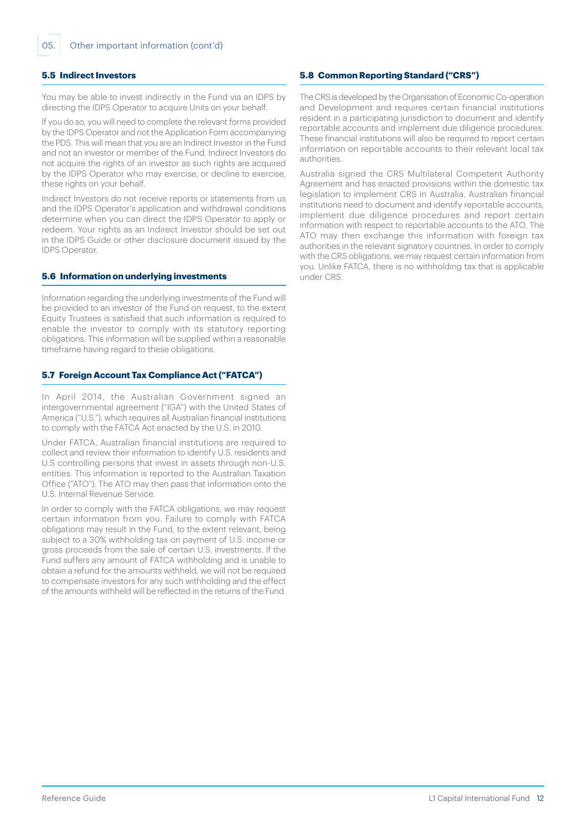#### **5.5 Indirect Investors**

You may be able to invest indirectly in the Fund via an IDPS by directing the IDPS Operator to acquire Units on your behalf.

If you do so, you will need to complete the relevant forms provided by the IDPS Operator and not the Application Form accompanying the PDS. This will mean that you are an Indirect Investor in the Fund and not an investor or member of the Fund. Indirect Investors do not acquire the rights of an investor as such rights are acquired by the IDPS Operator who may exercise, or decline to exercise, these rights on your behalf.

Indirect Investors do not receive reports or statements from us and the IDPS Operator's application and withdrawal conditions determine when you can direct the IDPS Operator to apply or redeem. Your rights as an Indirect Investor should be set out in the IDPS Guide or other disclosure document issued by the IDPS Operator.

#### **5.6 Information on underlying investments**

Information regarding the underlying investments of the Fund will be provided to an investor of the Fund on request, to the extent Equity Trustees is satisfied that such information is required to enable the investor to comply with its statutory reporting obligations. This information will be supplied within a reasonable timeframe having regard to these obligations.

## **5.7 Foreign Account Tax Compliance Act ("FATCA")**

In April 2014, the Australian Government signed an intergovernmental agreement ("IGA") with the United States of America ("U.S."), which requires all Australian financial institutions to comply with the FATCA Act enacted by the U.S. in 2010.

Under FATCA, Australian financial institutions are required to collect and review their information to identify U.S. residents and U.S controlling persons that invest in assets through non-U.S. entities. This information is reported to the Australian Taxation Office ("ATO"). The ATO may then pass that information onto the U.S. Internal Revenue Service.

In order to comply with the FATCA obligations, we may request certain information from you. Failure to comply with FATCA obligations may result in the Fund, to the extent relevant, being subject to a 30% withholding tax on payment of U.S. income or gross proceeds from the sale of certain U.S. investments. If the Fund suffers any amount of FATCA withholding and is unable to obtain a refund for the amounts withheld, we will not be required to compensate investors for any such withholding and the effect of the amounts withheld will be reflected in the returns of the Fund.

## **5.8 Common Reporting Standard ("CRS")**

The CRS is developed by the Organisation of Economic Co-operation and Development and requires certain financial institutions resident in a participating jurisdiction to document and identify reportable accounts and implement due diligence procedures. These financial institutions will also be required to report certain information on reportable accounts to their relevant local tax authorities.

Australia signed the CRS Multilateral Competent Authority Agreement and has enacted provisions within the domestic tax legislation to implement CRS in Australia. Australian financial institutions need to document and identify reportable accounts, implement due diligence procedures and report certain information with respect to reportable accounts to the ATO. The ATO may then exchange this information with foreign tax authorities in the relevant signatory countries. In order to comply with the CRS obligations, we may request certain information from you. Unlike FATCA, there is no withholding tax that is applicable under CRS.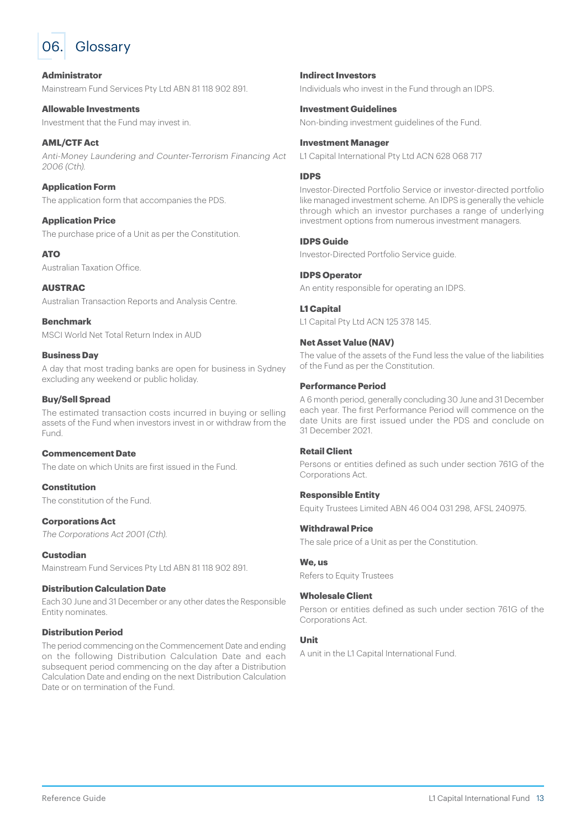<span id="page-12-0"></span>

## **Administrator**

Mainstream Fund Services Pty Ltd ABN 81 118 902 891.

**Allowable Investments** Investment that the Fund may invest in.

#### **AML/CTF Act** Anti-Money Laundering and Counter-Terrorism Financing Act 2006 (Cth).

## **Application Form**

The application form that accompanies the PDS.

## **Application Price**

The purchase price of a Unit as per the Constitution.

## **ATO**

Australian Taxation Office.

**AUSTRAC** Australian Transaction Reports and Analysis Centre.

**Benchmark** MSCI World Net Total Return Index in AUD

### **Business Day**

A day that most trading banks are open for business in Sydney excluding any weekend or public holiday.

## **Buy/Sell Spread**

The estimated transaction costs incurred in buying or selling assets of the Fund when investors invest in or withdraw from the Fund.

## **Commencement Date**

The date on which Units are first issued in the Fund.

**Constitution** The constitution of the Fund.

## **Corporations Act**

The Corporations Act 2001 (Cth).

## **Custodian**

Mainstream Fund Services Pty Ltd ABN 81 118 902 891.

#### **Distribution Calculation Date**

Each 30 June and 31 December or any other dates the Responsible Entity nominates.

## **Distribution Period**

The period commencing on the Commencement Date and ending on the following Distribution Calculation Date and each subsequent period commencing on the day after a Distribution Calculation Date and ending on the next Distribution Calculation Date or on termination of the Fund.

## **Indirect Investors**

Individuals who invest in the Fund through an IDPS.

#### **Investment Guidelines**

Non-binding investment guidelines of the Fund.

#### **Investment Manager**

L1 Capital International Pty Ltd ACN 628 068 717

## **IDPS**

Investor-Directed Portfolio Service or investor-directed portfolio like managed investment scheme. An IDPS is generally the vehicle through which an investor purchases a range of underlying investment options from numerous investment managers.

## **IDPS Guide**

Investor-Directed Portfolio Service guide.

## **IDPS Operator**

An entity responsible for operating an IDPS.

## **L1 Capital**

L1 Capital Pty Ltd ACN 125 378 145

## **Net Asset Value (NAV)**

The value of the assets of the Fund less the value of the liabilities of the Fund as per the Constitution.

### **Performance Period**

A 6 month period, generally concluding 30 June and 31 December each year. The first Performance Period will commence on the date Units are first issued under the PDS and conclude on 31 December 2021.

## **Retail Client**

Persons or entities defined as such under section 761G of the Corporations Act.

#### **Responsible Entity**

Equity Trustees Limited ABN 46 004 031 298, AFSL 240975.

#### **Withdrawal Price**

The sale price of a Unit as per the Constitution.

#### **We, us**

Refers to Equity Trustees

## **Wholesale Client**

Person or entities defined as such under section 761G of the Corporations Act.

### **Unit**

A unit in the L1 Capital International Fund.